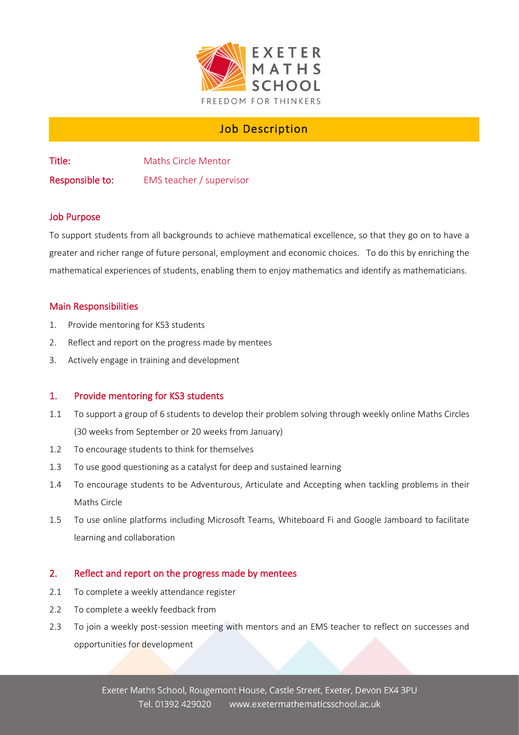

# Job Description

Title: Maths Circle Mentor Responsible to: EMS teacher / supervisor

## Job Purpose

To support students from all backgrounds to achieve mathematical excellence, so that they go on to have a greater and richer range of future personal, employment and economic choices. To do this by enriching the mathematical experiences of students, enabling them to enjoy mathematics and identify as mathematicians.

### Main Responsibilities

- 1. Provide mentoring for KS3 students
- 2. Reflect and report on the progress made by mentees
- 3. Actively engage in training and development

### 1. Provide mentoring for KS3 students

- 1.1 To support a group of 6 students to develop their problem solving through weekly online Maths Circles (30 weeks from September or 20 weeks from January)
- 1.2 To encourage students to think for themselves
- 1.3 To use good questioning as a catalyst for deep and sustained learning
- 1.4 To encourage students to be Adventurous, Articulate and Accepting when tackling problems in their Maths Circle
- 1.5 To use online platforms including Microsoft Teams, Whiteboard Fi and Google Jamboard to facilitate learning and collaboration

### 2. Reflect and report on the progress made by mentees

- 2.1 To complete a weekly attendance register
- 2.2 To complete a weekly feedback from
- 2.3 To join a weekly post-session meeting with mentors and an EMS teacher to reflect on successes and opportunities for development